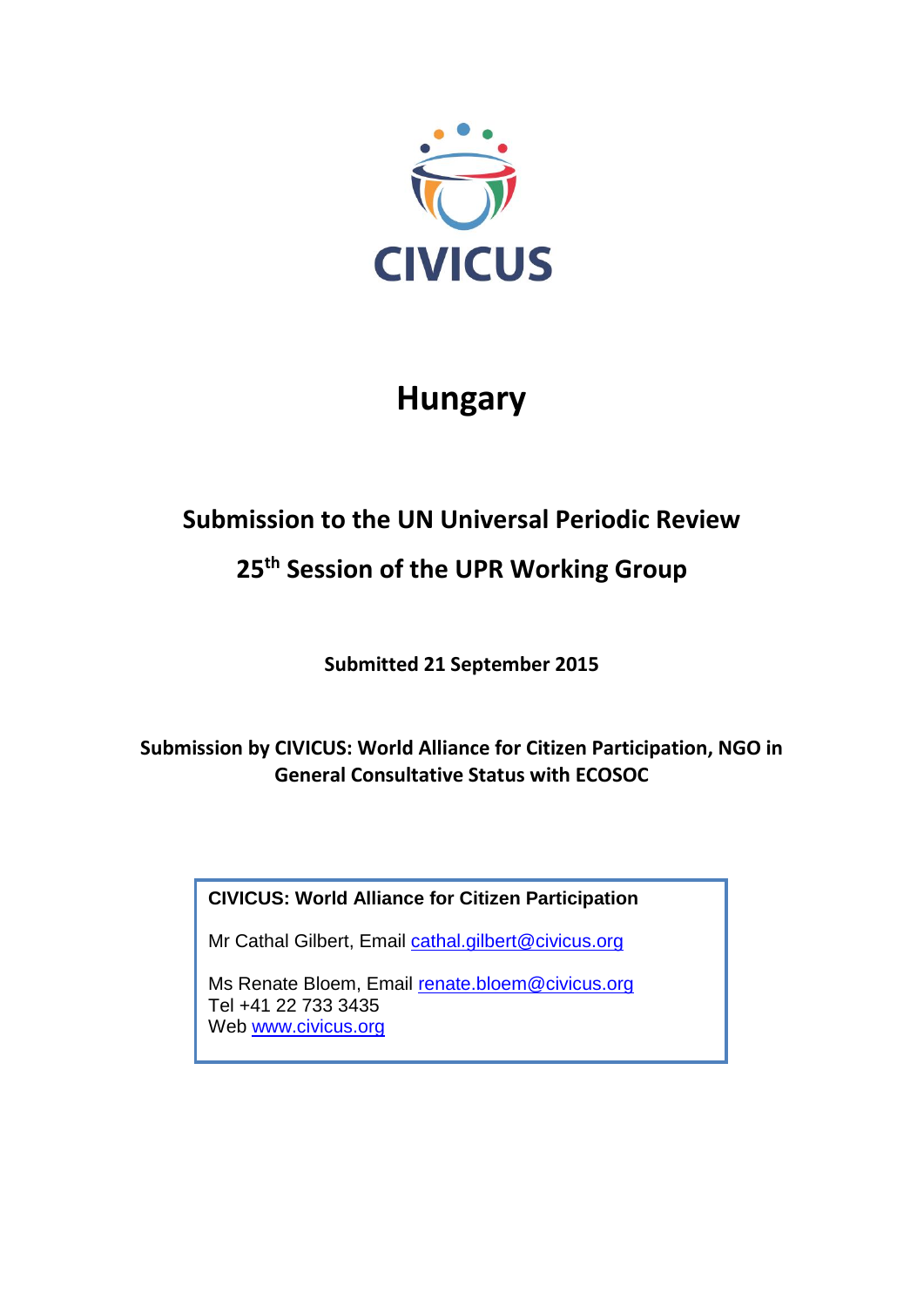

# **Hungary**

## **Submission to the UN Universal Periodic Review**

### **25 th Session of the UPR Working Group**

**Submitted 21 September 2015**

**Submission by CIVICUS: World Alliance for Citizen Participation, NGO in General Consultative Status with ECOSOC** 

**CIVICUS: World Alliance for Citizen Participation**

Mr Cathal Gilbert, Email [cathal.gilbert@civicus.org](mailto:cathal.gilbert@civicus.org)

Ms Renate Bloem, Email [renate.bloem@civicus.org](mailto:renate.bloem@civicus.org) Tel +41 22 733 3435 Web [www.civicus.org](http://www.civicus.org/)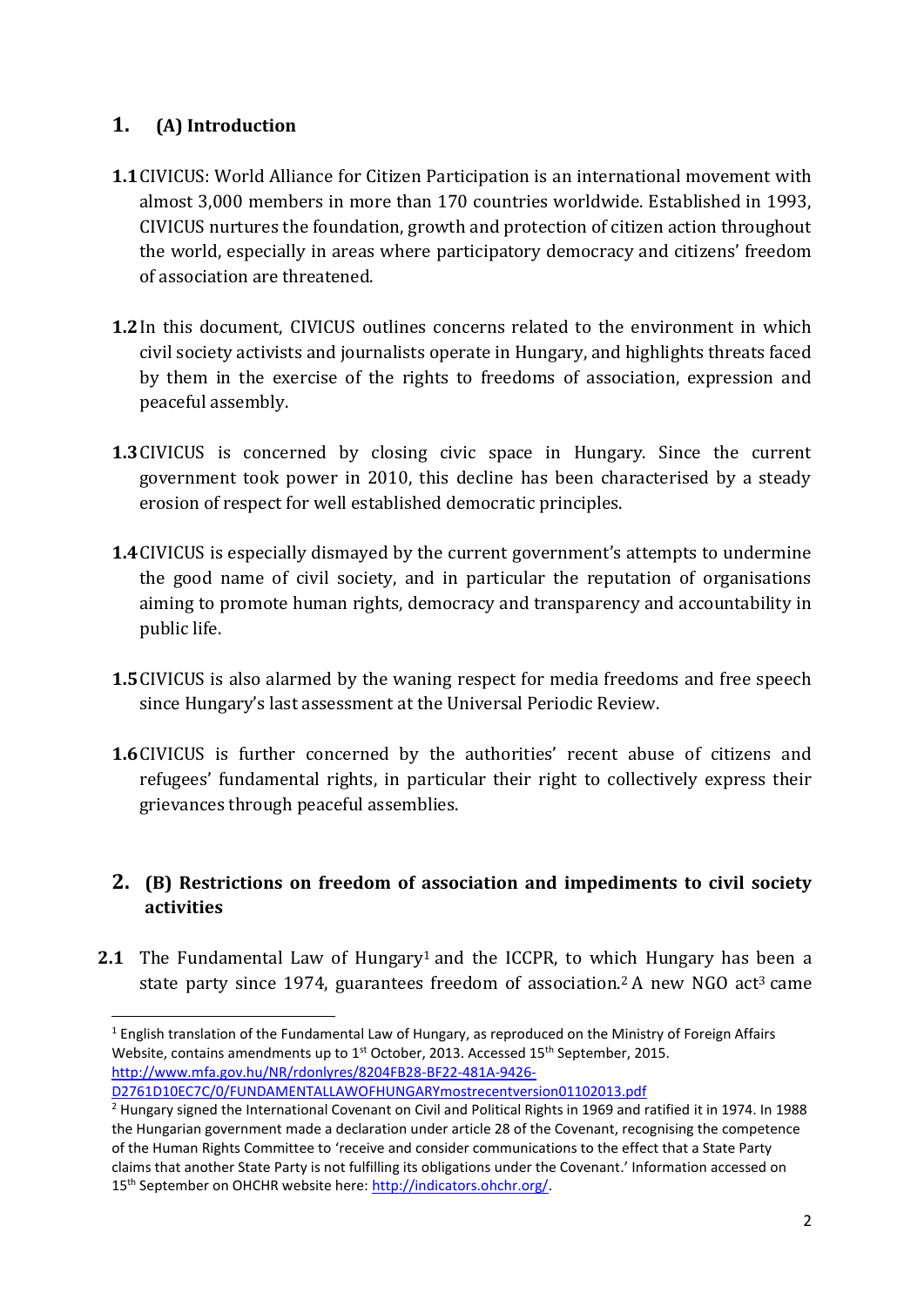#### **1. (A) Introduction**

**.** 

- **1.1**CIVICUS: World Alliance for Citizen Participation is an international movement with almost 3,000 members in more than 170 countries worldwide. Established in 1993, CIVICUS nurtures the foundation, growth and protection of citizen action throughout the world, especially in areas where participatory democracy and citizens' freedom of association are threatened.
- **1.2**In this document, CIVICUS outlines concerns related to the environment in which civil society activists and journalists operate in Hungary, and highlights threats faced by them in the exercise of the rights to freedoms of association, expression and peaceful assembly.
- **1.3**CIVICUS is concerned by closing civic space in Hungary. Since the current government took power in 2010, this decline has been characterised by a steady erosion of respect for well established democratic principles.
- **1.4**CIVICUS is especially dismayed by the current government's attempts to undermine the good name of civil society, and in particular the reputation of organisations aiming to promote human rights, democracy and transparency and accountability in public life.
- **1.5**CIVICUS is also alarmed by the waning respect for media freedoms and free speech since Hungary's last assessment at the Universal Periodic Review.
- **1.6**CIVICUS is further concerned by the authorities' recent abuse of citizens and refugees' fundamental rights, in particular their right to collectively express their grievances through peaceful assemblies.

#### **2. (B) Restrictions on freedom of association and impediments to civil society activities**

**2.1** The Fundamental Law of Hungary<sup>1</sup> and the ICCPR, to which Hungary has been a state party since 1974, guarantees freedom of association.<sup>2</sup> A new NGO act<sup>3</sup> came

<sup>&</sup>lt;sup>1</sup> English translation of the Fundamental Law of Hungary, as reproduced on the Ministry of Foreign Affairs Website, contains amendments up to  $1<sup>st</sup>$  October, 2013. Accessed  $15<sup>th</sup>$  September, 2015. [http://www.mfa.gov.hu/NR/rdonlyres/8204FB28-BF22-481A-9426-](http://www.mfa.gov.hu/NR/rdonlyres/8204FB28-BF22-481A-9426-D2761D10EC7C/0/FUNDAMENTALLAWOFHUNGARYmostrecentversion01102013.pdf)

[D2761D10EC7C/0/FUNDAMENTALLAWOFHUNGARYmostrecentversion01102013.pdf](http://www.mfa.gov.hu/NR/rdonlyres/8204FB28-BF22-481A-9426-D2761D10EC7C/0/FUNDAMENTALLAWOFHUNGARYmostrecentversion01102013.pdf)

<sup>&</sup>lt;sup>2</sup> Hungary signed the International Covenant on Civil and Political Rights in 1969 and ratified it in 1974. In 1988 the Hungarian government made a declaration under article 28 of the Covenant, recognising the competence of the Human Rights Committee to 'receive and consider communications to the effect that a State Party claims that another State Party is not fulfilling its obligations under the Covenant.' Information accessed on 15th September on OHCHR website here: [http://indicators.ohchr.org/.](http://indicators.ohchr.org/)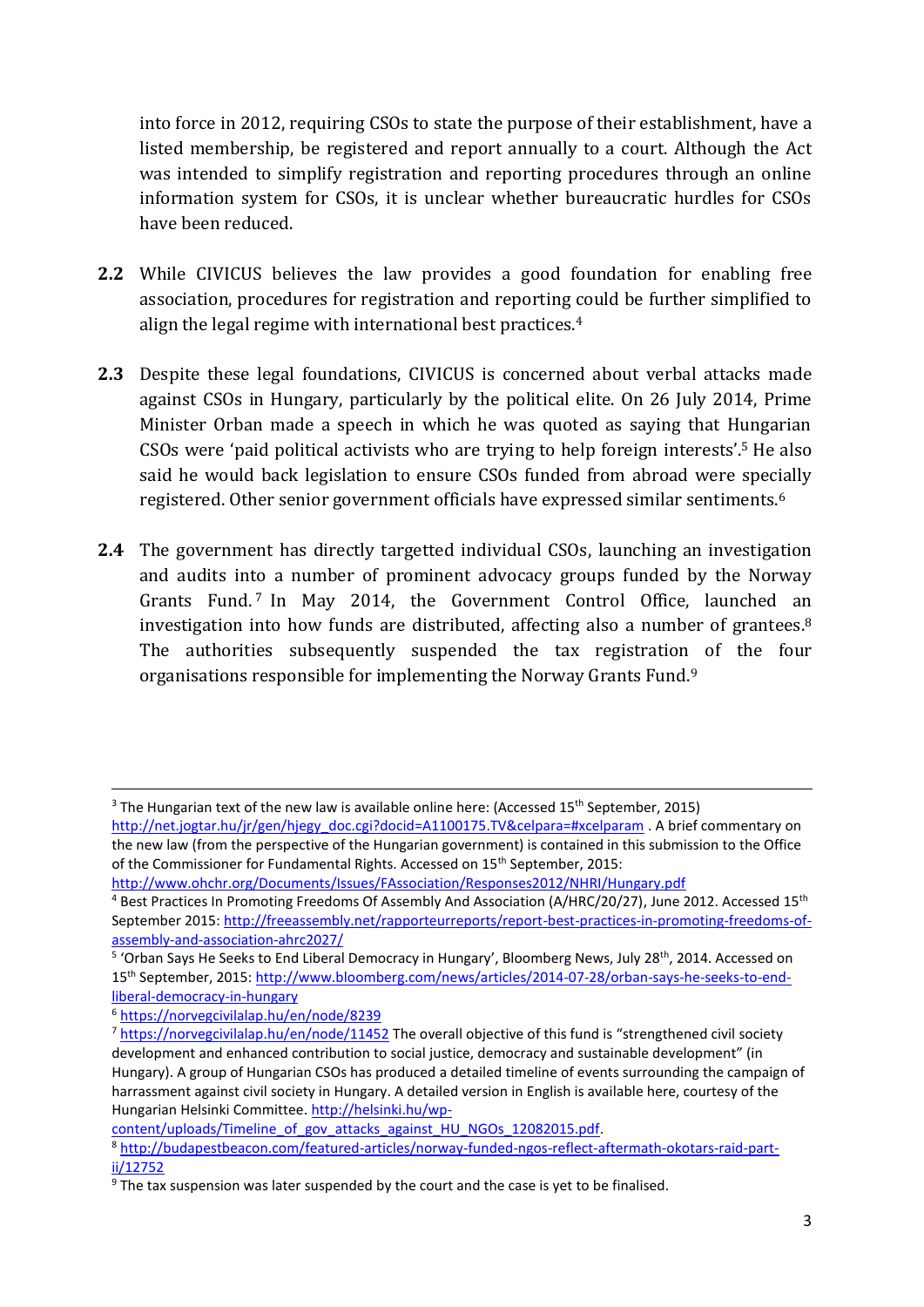into force in 2012, requiring CSOs to state the purpose of their establishment, have a listed membership, be registered and report annually to a court. Although the Act was intended to simplify registration and reporting procedures through an online information system for CSOs, it is unclear whether bureaucratic hurdles for CSOs have been reduced.

- **2.2** While CIVICUS believes the law provides a good foundation for enabling free association, procedures for registration and reporting could be further simplified to align the legal regime with international best practices.<sup>4</sup>
- **2.3** Despite these legal foundations, CIVICUS is concerned about verbal attacks made against CSOs in Hungary, particularly by the political elite. On 26 July 2014, Prime Minister Orban made a speech in which he was quoted as saying that Hungarian CSOs were 'paid political activists who are trying to help foreign interests'.<sup>5</sup> He also said he would back legislation to ensure CSOs funded from abroad were specially registered. Other senior government officials have expressed similar sentiments.<sup>6</sup>
- **2.4** The government has directly targetted individual CSOs, launching an investigation and audits into a number of prominent advocacy groups funded by the Norway Grants Fund.<sup>7</sup> In May 2014, the Government Control Office, launched an investigation into how funds are distributed, affecting also a number of grantees.<sup>8</sup> The authorities subsequently suspended the tax registration of the four organisations responsible for implementing the Norway Grants Fund.<sup>9</sup>

<http://www.ohchr.org/Documents/Issues/FAssociation/Responses2012/NHRI/Hungary.pdf>

 $\overline{\phantom{a}}$ 

[content/uploads/Timeline\\_of\\_gov\\_attacks\\_against\\_HU\\_NGOs\\_12082015.pdf.](http://helsinki.hu/wp-content/uploads/Timeline_of_gov_attacks_against_HU_NGOs_12082015.pdf)

 $3$  The Hungarian text of the new law is available online here: (Accessed 15<sup>th</sup> September, 2015) [http://net.jogtar.hu/jr/gen/hjegy\\_doc.cgi?docid=A1100175.TV&celpara=#xcelparam](http://net.jogtar.hu/jr/gen/hjegy_doc.cgi?docid=A1100175.TV&celpara=#xcelparam) . A brief commentary on

the new law (from the perspective of the Hungarian government) is contained in this submission to the Office of the Commissioner for Fundamental Rights. Accessed on 15<sup>th</sup> September, 2015:

<sup>4</sup> Best Practices In Promoting Freedoms Of Assembly And Association (A/HRC/20/27), June 2012. Accessed 15th September 2015: [http://freeassembly.net/rapporteurreports/report-best-practices-in-promoting-freedoms-of](http://freeassembly.net/rapporteurreports/report-best-practices-in-promoting-freedoms-of-assembly-and-association-ahrc2027/)[assembly-and-association-ahrc2027/](http://freeassembly.net/rapporteurreports/report-best-practices-in-promoting-freedoms-of-assembly-and-association-ahrc2027/)

<sup>&</sup>lt;sup>5</sup> 'Orban Says He Seeks to End Liberal Democracy in Hungary', Bloomberg News, July 28<sup>th</sup>, 2014. Accessed on 15th September, 2015: [http://www.bloomberg.com/news/articles/2014-07-28/orban-says-he-seeks-to-end](http://www.bloomberg.com/news/articles/2014-07-28/orban-says-he-seeks-to-end-liberal-democracy-in-hungary)[liberal-democracy-in-hungary](http://www.bloomberg.com/news/articles/2014-07-28/orban-says-he-seeks-to-end-liberal-democracy-in-hungary)

<sup>6</sup> <https://norvegcivilalap.hu/en/node/8239>

<sup>&</sup>lt;sup>7</sup> <https://norvegcivilalap.hu/en/node/11452> The overall objective of this fund is "strengthened civil society development and enhanced contribution to social justice, democracy and sustainable development" (in Hungary). A group of Hungarian CSOs has produced a detailed timeline of events surrounding the campaign of harrassment against civil society in Hungary. A detailed version in English is available here, courtesy of the Hungarian Helsinki Committee[. http://helsinki.hu/wp-](http://helsinki.hu/wp-content/uploads/Timeline_of_gov_attacks_against_HU_NGOs_12082015.pdf)

<sup>8</sup> [http://budapestbeacon.com/featured-articles/norway-funded-ngos-reflect-aftermath-okotars-raid-part](http://budapestbeacon.com/featured-articles/norway-funded-ngos-reflect-aftermath-okotars-raid-part-ii/12752)[ii/12752](http://budapestbeacon.com/featured-articles/norway-funded-ngos-reflect-aftermath-okotars-raid-part-ii/12752)

<sup>9</sup> The tax suspension was later suspended by the court and the case is yet to be finalised.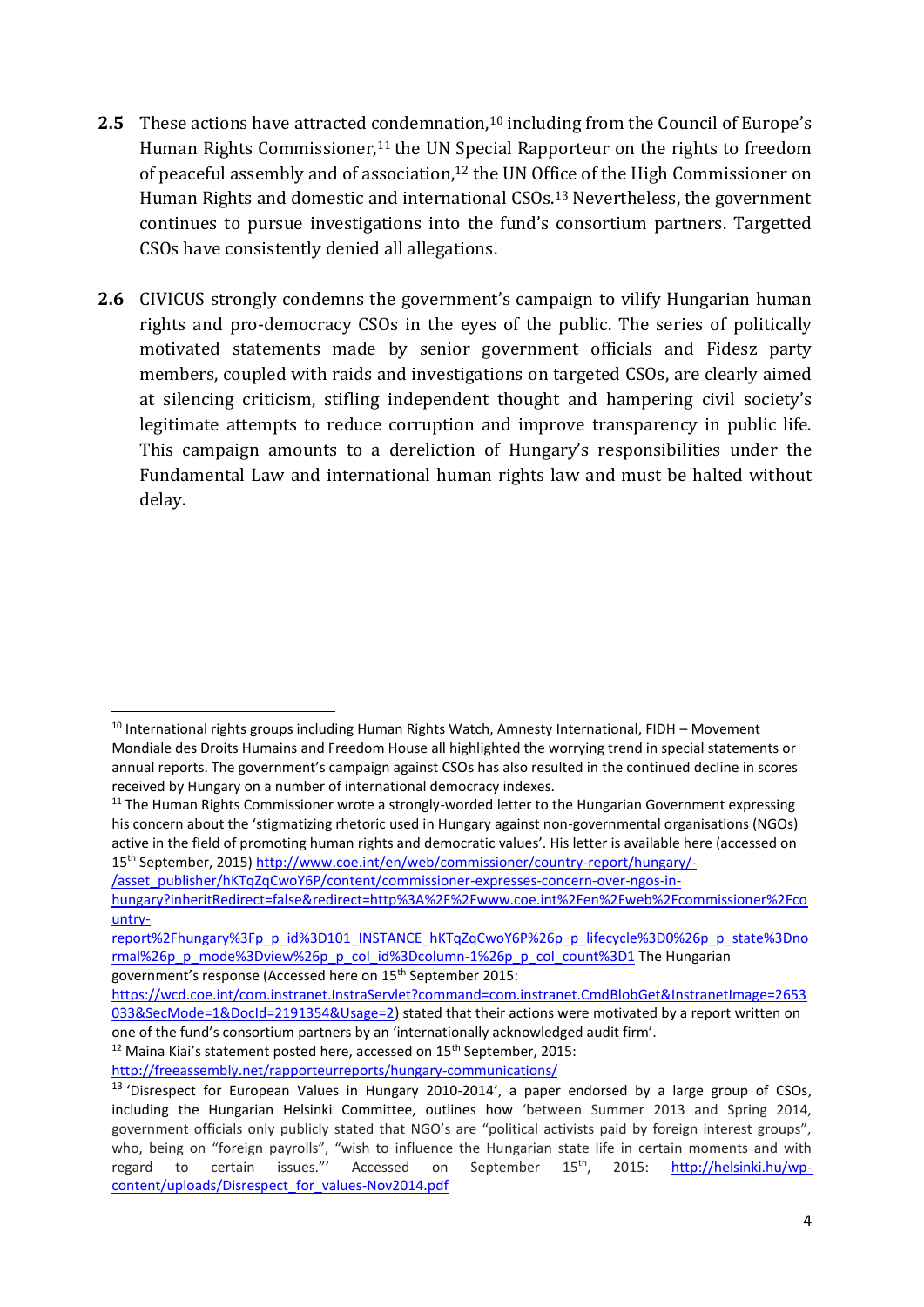- 2.5 These actions have attracted condemnation,<sup>10</sup> including from the Council of Europe's Human Rights Commissioner, <sup>11</sup> the UN Special Rapporteur on the rights to freedom of peaceful assembly and of association, <sup>12</sup> the UN Office of the High Commissioner on Human Rights and domestic and international CSOs. <sup>13</sup> Nevertheless, the government continues to pursue investigations into the fund's consortium partners. Targetted CSOs have consistently denied all allegations.
- **2.6** CIVICUS strongly condemns the government's campaign to vilify Hungarian human rights and pro-democracy CSOs in the eyes of the public. The series of politically motivated statements made by senior government officials and Fidesz party members, coupled with raids and investigations on targeted CSOs, are clearly aimed at silencing criticism, stifling independent thought and hampering civil society's legitimate attempts to reduce corruption and improve transparency in public life. This campaign amounts to a dereliction of Hungary's responsibilities under the Fundamental Law and international human rights law and must be halted without delay.

**.** 

 $12$  Maina Kiai's statement posted here, accessed on 15<sup>th</sup> September, 2015:

<sup>&</sup>lt;sup>10</sup> International rights groups including Human Rights Watch, Amnesty International, FIDH - Movement Mondiale des Droits Humains and Freedom House all highlighted the worrying trend in special statements or annual reports. The government's campaign against CSOs has also resulted in the continued decline in scores received by Hungary on a number of international democracy indexes.

<sup>&</sup>lt;sup>11</sup> The Human Rights Commissioner wrote a strongly-worded letter to the Hungarian Government expressing his concern about the 'stigmatizing rhetoric used in Hungary against non-governmental organisations (NGOs) active in the field of promoting human rights and democratic values'. His letter is available here (accessed on 15th September, 2015) [http://www.coe.int/en/web/commissioner/country-report/hungary/-](http://www.coe.int/en/web/commissioner/country-report/hungary/-/asset_publisher/hKTqZqCwoY6P/content/commissioner-expresses-concern-over-ngos-in-hungary?inheritRedirect=false&redirect=http%3A%2F%2Fwww.coe.int%2Fen%2Fweb%2Fcommissioner%2Fcountry-report%2Fhungary%3Fp_p_id%3D101_INSTANCE_hKTqZqCwoY6P%26p_p_lifecycle%3D0%26p_p_state%3Dnormal%26p_p_mode%3Dview%26p_p_col_id%3Dcolumn-1%26p_p_col_count%3D1)

[<sup>/</sup>asset\\_publisher/hKTqZqCwoY6P/content/commissioner-expresses-concern-over-ngos-in-](http://www.coe.int/en/web/commissioner/country-report/hungary/-/asset_publisher/hKTqZqCwoY6P/content/commissioner-expresses-concern-over-ngos-in-hungary?inheritRedirect=false&redirect=http%3A%2F%2Fwww.coe.int%2Fen%2Fweb%2Fcommissioner%2Fcountry-report%2Fhungary%3Fp_p_id%3D101_INSTANCE_hKTqZqCwoY6P%26p_p_lifecycle%3D0%26p_p_state%3Dnormal%26p_p_mode%3Dview%26p_p_col_id%3Dcolumn-1%26p_p_col_count%3D1)

[hungary?inheritRedirect=false&redirect=http%3A%2F%2Fwww.coe.int%2Fen%2Fweb%2Fcommissioner%2Fco](http://www.coe.int/en/web/commissioner/country-report/hungary/-/asset_publisher/hKTqZqCwoY6P/content/commissioner-expresses-concern-over-ngos-in-hungary?inheritRedirect=false&redirect=http%3A%2F%2Fwww.coe.int%2Fen%2Fweb%2Fcommissioner%2Fcountry-report%2Fhungary%3Fp_p_id%3D101_INSTANCE_hKTqZqCwoY6P%26p_p_lifecycle%3D0%26p_p_state%3Dnormal%26p_p_mode%3Dview%26p_p_col_id%3Dcolumn-1%26p_p_col_count%3D1) [untry-](http://www.coe.int/en/web/commissioner/country-report/hungary/-/asset_publisher/hKTqZqCwoY6P/content/commissioner-expresses-concern-over-ngos-in-hungary?inheritRedirect=false&redirect=http%3A%2F%2Fwww.coe.int%2Fen%2Fweb%2Fcommissioner%2Fcountry-report%2Fhungary%3Fp_p_id%3D101_INSTANCE_hKTqZqCwoY6P%26p_p_lifecycle%3D0%26p_p_state%3Dnormal%26p_p_mode%3Dview%26p_p_col_id%3Dcolumn-1%26p_p_col_count%3D1)

[report%2Fhungary%3Fp\\_p\\_id%3D101\\_INSTANCE\\_hKTqZqCwoY6P%26p\\_p\\_lifecycle%3D0%26p\\_p\\_state%3Dno](http://www.coe.int/en/web/commissioner/country-report/hungary/-/asset_publisher/hKTqZqCwoY6P/content/commissioner-expresses-concern-over-ngos-in-hungary?inheritRedirect=false&redirect=http%3A%2F%2Fwww.coe.int%2Fen%2Fweb%2Fcommissioner%2Fcountry-report%2Fhungary%3Fp_p_id%3D101_INSTANCE_hKTqZqCwoY6P%26p_p_lifecycle%3D0%26p_p_state%3Dnormal%26p_p_mode%3Dview%26p_p_col_id%3Dcolumn-1%26p_p_col_count%3D1) [rmal%26p\\_p\\_mode%3Dview%26p\\_p\\_col\\_id%3Dcolumn-1%26p\\_p\\_col\\_count%3D1](http://www.coe.int/en/web/commissioner/country-report/hungary/-/asset_publisher/hKTqZqCwoY6P/content/commissioner-expresses-concern-over-ngos-in-hungary?inheritRedirect=false&redirect=http%3A%2F%2Fwww.coe.int%2Fen%2Fweb%2Fcommissioner%2Fcountry-report%2Fhungary%3Fp_p_id%3D101_INSTANCE_hKTqZqCwoY6P%26p_p_lifecycle%3D0%26p_p_state%3Dnormal%26p_p_mode%3Dview%26p_p_col_id%3Dcolumn-1%26p_p_col_count%3D1) The Hungarian

government's response (Accessed here on 15th September 2015:

[https://wcd.coe.int/com.instranet.InstraServlet?command=com.instranet.CmdBlobGet&InstranetImage=2653](https://wcd.coe.int/com.instranet.InstraServlet?command=com.instranet.CmdBlobGet&InstranetImage=2653033&SecMode=1&DocId=2191354&Usage=2) [033&SecMode=1&DocId=2191354&Usage=2\)](https://wcd.coe.int/com.instranet.InstraServlet?command=com.instranet.CmdBlobGet&InstranetImage=2653033&SecMode=1&DocId=2191354&Usage=2) stated that their actions were motivated by a report written on one of the fund's consortium partners by an 'internationally acknowledged audit firm'.

<http://freeassembly.net/rapporteurreports/hungary-communications/>

<sup>&</sup>lt;sup>13</sup> 'Disrespect for European Values in Hungary 2010-2014', a paper endorsed by a large group of CSOs, including the Hungarian Helsinki Committee, outlines how 'between Summer 2013 and Spring 2014, government officials only publicly stated that NGO's are "political activists paid by foreign interest groups", who, being on "foreign payrolls", "wish to influence the Hungarian state life in certain moments and with regard to certain issues."' Accessed on September 15<sup>th</sup>, 2015: [http://helsinki.hu/wp](http://helsinki.hu/wp-content/uploads/Disrespect_for_values-Nov2014.pdf)[content/uploads/Disrespect\\_for\\_values-Nov2014.pdf](http://helsinki.hu/wp-content/uploads/Disrespect_for_values-Nov2014.pdf)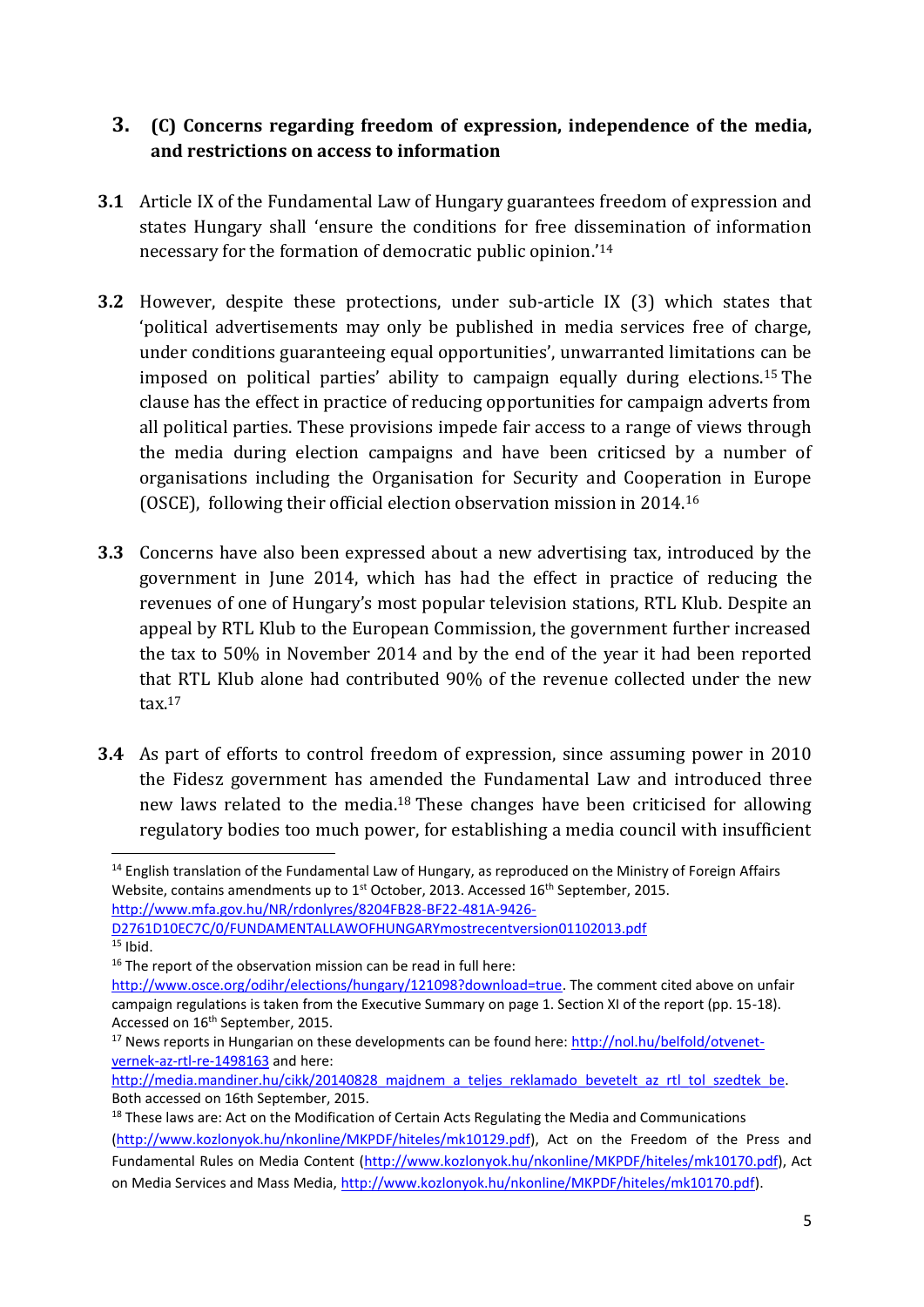#### **3. (C) Concerns regarding freedom of expression, independence of the media, and restrictions on access to information**

- **3.1** Article IX of the Fundamental Law of Hungary guarantees freedom of expression and states Hungary shall 'ensure the conditions for free dissemination of information necessary for the formation of democratic public opinion.'<sup>14</sup>
- **3.2** However, despite these protections, under sub-article IX (3) which states that 'political advertisements may only be published in media services free of charge, under conditions guaranteeing equal opportunities', unwarranted limitations can be imposed on political parties' ability to campaign equally during elections.<sup>15</sup> The clause has the effect in practice of reducing opportunities for campaign adverts from all political parties. These provisions impede fair access to a range of views through the media during election campaigns and have been criticsed by a number of organisations including the Organisation for Security and Cooperation in Europe (OSCE), following their official election observation mission in 2014.<sup>16</sup>
- **3.3** Concerns have also been expressed about a new advertising tax, introduced by the government in June 2014, which has had the effect in practice of reducing the revenues of one of Hungary's most popular television stations, RTL Klub. Despite an appeal by RTL Klub to the European Commission, the government further increased the tax to 50% in November 2014 and by the end of the year it had been reported that RTL Klub alone had contributed 90% of the revenue collected under the new  $\text{tax}.^{17}$
- **3.4** As part of efforts to control freedom of expression, since assuming power in 2010 the Fidesz government has amended the Fundamental Law and introduced three new laws related to the media.<sup>18</sup> These changes have been criticised for allowing regulatory bodies too much power, for establishing a media council with insufficient

[D2761D10EC7C/0/FUNDAMENTALLAWOFHUNGARYmostrecentversion01102013.pdf](http://www.mfa.gov.hu/NR/rdonlyres/8204FB28-BF22-481A-9426-D2761D10EC7C/0/FUNDAMENTALLAWOFHUNGARYmostrecentversion01102013.pdf)  $15$  Ibid.

1

<sup>&</sup>lt;sup>14</sup> English translation of the Fundamental Law of Hungary, as reproduced on the Ministry of Foreign Affairs Website, contains amendments up to 1<sup>st</sup> October, 2013. Accessed 16<sup>th</sup> September, 2015. [http://www.mfa.gov.hu/NR/rdonlyres/8204FB28-BF22-481A-9426-](http://www.mfa.gov.hu/NR/rdonlyres/8204FB28-BF22-481A-9426-D2761D10EC7C/0/FUNDAMENTALLAWOFHUNGARYmostrecentversion01102013.pdf)

<sup>&</sup>lt;sup>16</sup> The report of the observation mission can be read in full here:

[http://www.osce.org/odihr/elections/hungary/121098?download=true.](http://www.osce.org/odihr/elections/hungary/121098?download=true) The comment cited above on unfair campaign regulations is taken from the Executive Summary on page 1. Section XI of the report (pp. 15-18). Accessed on 16<sup>th</sup> September, 2015.

<sup>&</sup>lt;sup>17</sup> News reports in Hungarian on these developments can be found here: [http://nol.hu/belfold/otvenet](http://nol.hu/belfold/otvenet-vernek-az-rtl-re-1498163)[vernek-az-rtl-re-1498163](http://nol.hu/belfold/otvenet-vernek-az-rtl-re-1498163) and here:

[http://media.mandiner.hu/cikk/20140828\\_majdnem\\_a\\_teljes\\_reklamado\\_bevetelt\\_az\\_rtl\\_tol\\_szedtek\\_be.](http://media.mandiner.hu/cikk/20140828_majdnem_a_teljes_reklamado_bevetelt_az_rtl_tol_szedtek_be) Both accessed on 16th September, 2015.

<sup>&</sup>lt;sup>18</sup> These laws are: Act on the Modification of Certain Acts Regulating the Media and Communications [\(http://www.kozlonyok.hu/nkonline/MKPDF/hiteles/mk10129.pdf\)](http://www.kozlonyok.hu/nkonline/MKPDF/hiteles/mk10129.pdf), Act on the Freedom of the Press and Fundamental Rules on Media Content [\(http://www.kozlonyok.hu/nkonline/MKPDF/hiteles/mk10170.pdf\)](http://www.kozlonyok.hu/nkonline/MKPDF/hiteles/mk10170.pdf), Act on Media Services and Mass Media, [http://www.kozlonyok.hu/nkonline/MKPDF/hiteles/mk10170.pdf\)](http://www.kozlonyok.hu/nkonline/MKPDF/hiteles/mk10170.pdf).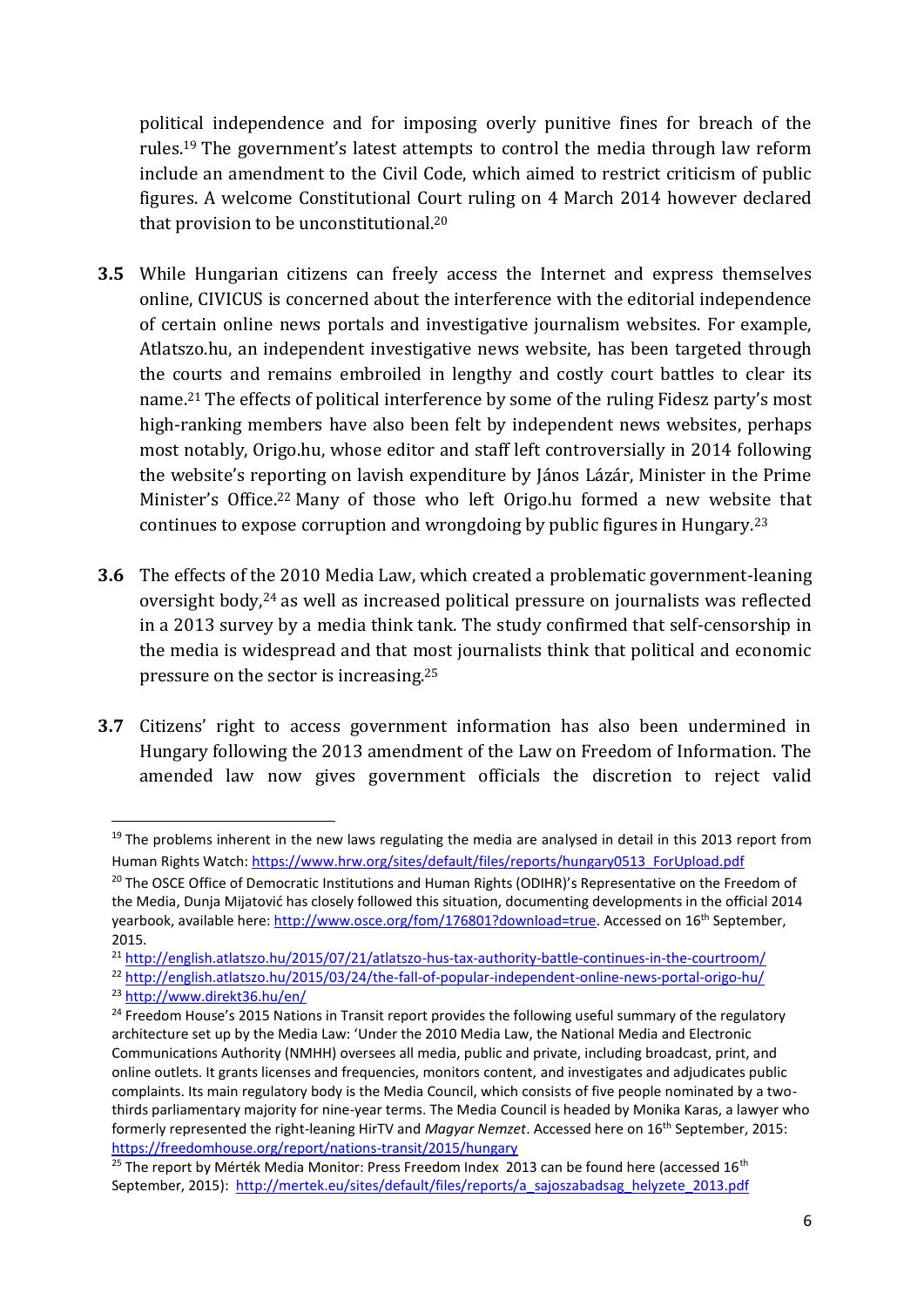political independence and for imposing overly punitive fines for breach of the rules.<sup>19</sup> The government's latest attempts to control the media through law reform include an amendment to the Civil Code, which aimed to restrict criticism of public figures. A welcome Constitutional Court ruling on 4 March 2014 however declared that provision to be unconstitutional.<sup>20</sup>

- **3.5** While Hungarian citizens can freely access the Internet and express themselves online, CIVICUS is concerned about the interference with the editorial independence of certain online news portals and investigative journalism websites. For example, Atlatszo.hu, an independent investigative news website, has been targeted through the courts and remains embroiled in lengthy and costly court battles to clear its name. <sup>21</sup> The effects of political interference by some of the ruling Fidesz party's most high-ranking members have also been felt by independent news websites, perhaps most notably, Origo.hu, whose editor and staff left controversially in 2014 following the website's reporting on lavish expenditure by János Lázár, Minister in the Prime Minister's Office.<sup>22</sup> Many of those who left Origo.hu formed a new website that continues to expose corruption and wrongdoing by public figures in Hungary.<sup>23</sup>
- **3.6** The effects of the 2010 Media Law, which created a problematic government-leaning oversight body,<sup>24</sup> as well as increased political pressure on journalists was reflected in a 2013 survey by a media think tank. The study confirmed that self-censorship in the media is widespread and that most journalists think that political and economic pressure on the sector is increasing.<sup>25</sup>
- **3.7** Citizens' right to access government information has also been undermined in Hungary following the 2013 amendment of the Law on Freedom of Information. The amended law now gives government officials the discretion to reject valid

**.** 

 $19$  The problems inherent in the new laws regulating the media are analysed in detail in this 2013 report from Human Rights Watch[: https://www.hrw.org/sites/default/files/reports/hungary0513\\_ForUpload.pdf](https://www.hrw.org/sites/default/files/reports/hungary0513_ForUpload.pdf)

<sup>&</sup>lt;sup>20</sup> The OSCE Office of Democratic Institutions and Human Rights (ODIHR)'s Representative on the Freedom of the Media, Dunja Mijatović has closely followed this situation, documenting developments in the official 2014 yearbook, available here: [http://www.osce.org/fom/176801?download=true.](http://www.osce.org/fom/176801?download=true) Accessed on 16<sup>th</sup> September, 2015.

<sup>21</sup> <http://english.atlatszo.hu/2015/07/21/atlatszo-hus-tax-authority-battle-continues-in-the-courtroom/>

<sup>22</sup> <http://english.atlatszo.hu/2015/03/24/the-fall-of-popular-independent-online-news-portal-origo-hu/>

<sup>23</sup> <http://www.direkt36.hu/en/>

<sup>&</sup>lt;sup>24</sup> Freedom House's 2015 Nations in Transit report provides the following useful summary of the regulatory architecture set up by the Media Law: 'Under the 2010 Media Law, the National Media and Electronic Communications Authority (NMHH) oversees all media, public and private, including broadcast, print, and online outlets. It grants licenses and frequencies, monitors content, and investigates and adjudicates public complaints. Its main regulatory body is the Media Council, which consists of five people nominated by a twothirds parliamentary majority for nine-year terms. The Media Council is headed by Monika Karas, a lawyer who formerly represented the right-leaning HirTV and *Magyar Nemzet*. Accessed here on 16th September, 2015: <https://freedomhouse.org/report/nations-transit/2015/hungary>

<sup>&</sup>lt;sup>25</sup> The report by Mérték Media Monitor: Press Freedom Index 2013 can be found here (accessed 16<sup>th</sup> September, 2015): [http://mertek.eu/sites/default/files/reports/a\\_sajoszabadsag\\_helyzete\\_2013.pdf](http://mertek.eu/sites/default/files/reports/a_sajoszabadsag_helyzete_2013.pdf)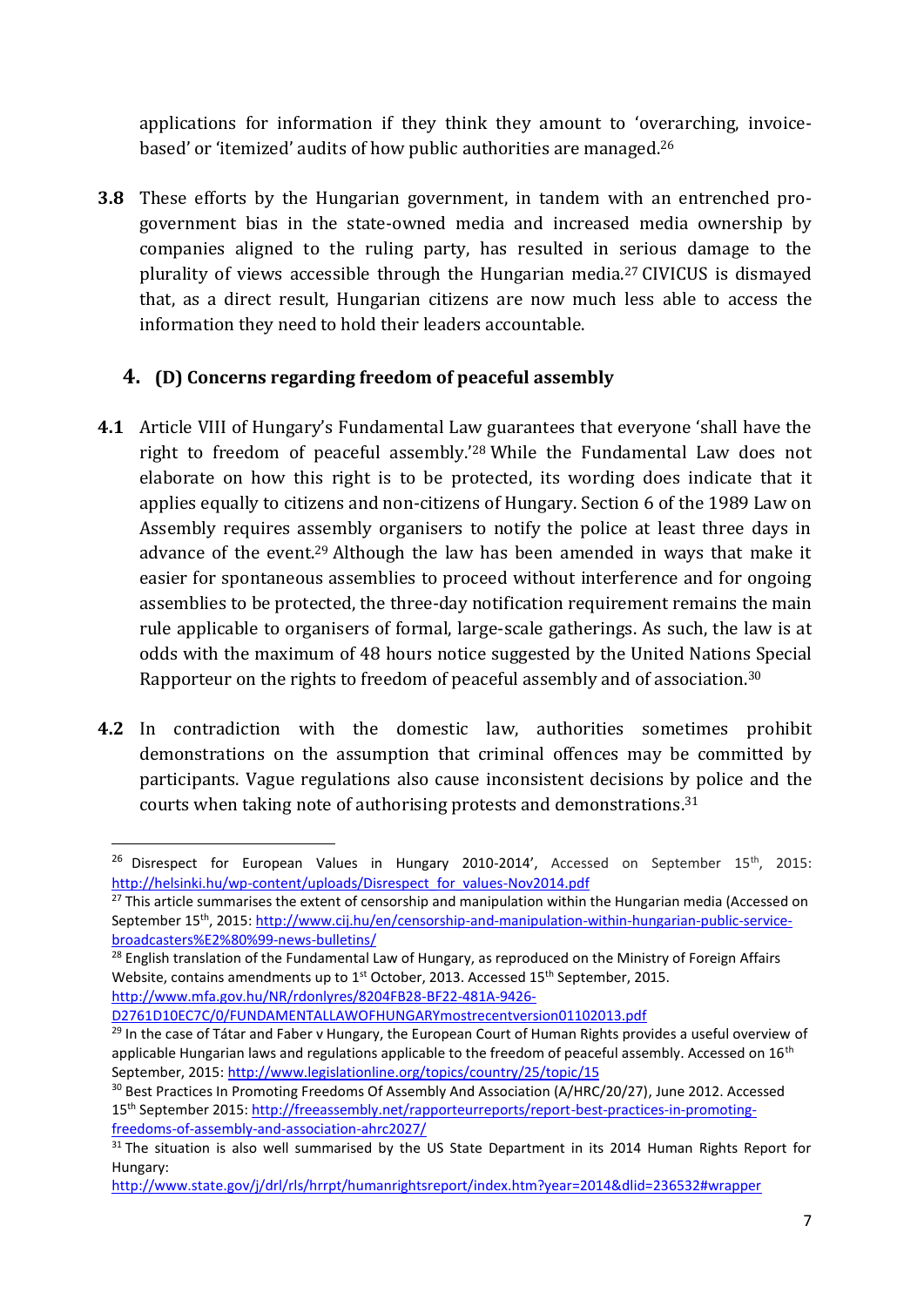applications for information if they think they amount to 'overarching, invoicebased' or 'itemized' audits of how public authorities are managed.<sup>26</sup>

**3.8** These efforts by the Hungarian government, in tandem with an entrenched progovernment bias in the state-owned media and increased media ownership by companies aligned to the ruling party, has resulted in serious damage to the plurality of views accessible through the Hungarian media.<sup>27</sup> CIVICUS is dismayed that, as a direct result, Hungarian citizens are now much less able to access the information they need to hold their leaders accountable.

#### **4. (D) Concerns regarding freedom of peaceful assembly**

- **4.1** Article VIII of Hungary's Fundamental Law guarantees that everyone 'shall have the right to freedom of peaceful assembly.'<sup>28</sup> While the Fundamental Law does not elaborate on how this right is to be protected, its wording does indicate that it applies equally to citizens and non-citizens of Hungary. Section 6 of the 1989 Law on Assembly requires assembly organisers to notify the police at least three days in advance of the event.<sup>29</sup> Although the law has been amended in ways that make it easier for spontaneous assemblies to proceed without interference and for ongoing assemblies to be protected, the three-day notification requirement remains the main rule applicable to organisers of formal, large-scale gatherings. As such, the law is at odds with the maximum of 48 hours notice suggested by the United Nations Special Rapporteur on the rights to freedom of peaceful assembly and of association.<sup>30</sup>
- **4.2** In contradiction with the domestic law, authorities sometimes prohibit demonstrations on the assumption that criminal offences may be committed by participants. Vague regulations also cause inconsistent decisions by police and the courts when taking note of authorising protests and demonstrations.<sup>31</sup>

<sup>28</sup> English translation of the Fundamental Law of Hungary, as reproduced on the Ministry of Foreign Affairs Website, contains amendments up to 1<sup>st</sup> October, 2013. Accessed 15<sup>th</sup> September, 2015. [http://www.mfa.gov.hu/NR/rdonlyres/8204FB28-BF22-481A-9426-](http://www.mfa.gov.hu/NR/rdonlyres/8204FB28-BF22-481A-9426-D2761D10EC7C/0/FUNDAMENTALLAWOFHUNGARYmostrecentversion01102013.pdf)

[D2761D10EC7C/0/FUNDAMENTALLAWOFHUNGARYmostrecentversion01102013.pdf](http://www.mfa.gov.hu/NR/rdonlyres/8204FB28-BF22-481A-9426-D2761D10EC7C/0/FUNDAMENTALLAWOFHUNGARYmostrecentversion01102013.pdf)

**.** 

<sup>&</sup>lt;sup>26</sup> Disrespect for European Values in Hungary 2010-2014', Accessed on September 15<sup>th</sup>, 2015: [http://helsinki.hu/wp-content/uploads/Disrespect\\_for\\_values-Nov2014.pdf](http://helsinki.hu/wp-content/uploads/Disrespect_for_values-Nov2014.pdf)

<sup>&</sup>lt;sup>27</sup> This article summarises the extent of censorship and manipulation within the Hungarian media (Accessed on September 15th, 2015: [http://www.cij.hu/en/censorship-and-manipulation-within-hungarian-public-service](http://www.cij.hu/en/censorship-and-manipulation-within-hungarian-public-service-broadcasters%E2%80%99-news-bulletins/)[broadcasters%E2%80%99-news-bulletins/](http://www.cij.hu/en/censorship-and-manipulation-within-hungarian-public-service-broadcasters%E2%80%99-news-bulletins/) 

<sup>&</sup>lt;sup>29</sup> In the case of Tátar and Faber v Hungary, the European Court of Human Rights provides a useful overview of applicable Hungarian laws and regulations applicable to the freedom of peaceful assembly. Accessed on 16<sup>th</sup> September, 2015:<http://www.legislationline.org/topics/country/25/topic/15>

<sup>&</sup>lt;sup>30</sup> Best Practices In Promoting Freedoms Of Assembly And Association (A/HRC/20/27), June 2012. Accessed 15th September 2015: [http://freeassembly.net/rapporteurreports/report-best-practices-in-promoting](http://freeassembly.net/rapporteurreports/report-best-practices-in-promoting-freedoms-of-assembly-and-association-ahrc2027/)[freedoms-of-assembly-and-association-ahrc2027/](http://freeassembly.net/rapporteurreports/report-best-practices-in-promoting-freedoms-of-assembly-and-association-ahrc2027/)

<sup>&</sup>lt;sup>31</sup> The situation is also well summarised by the US State Department in its 2014 Human Rights Report for Hungary:

<http://www.state.gov/j/drl/rls/hrrpt/humanrightsreport/index.htm?year=2014&dlid=236532#wrapper>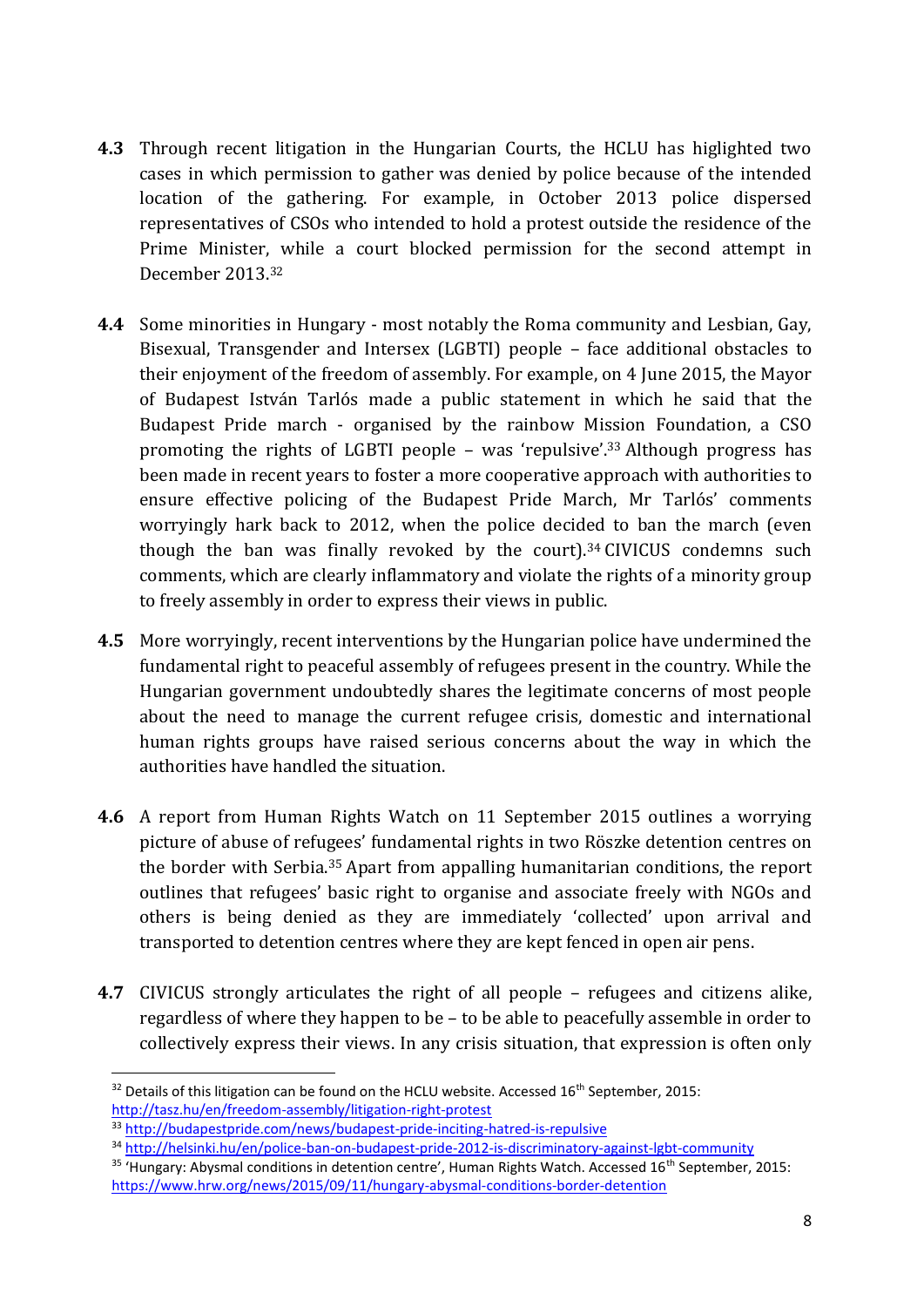- **4.3** Through recent litigation in the Hungarian Courts, the HCLU has higlighted two cases in which permission to gather was denied by police because of the intended location of the gathering. For example, in October 2013 police dispersed representatives of CSOs who intended to hold a protest outside the residence of the Prime Minister, while a court blocked permission for the second attempt in December 2013.<sup>32</sup>
- **4.4** Some minorities in Hungary most notably the Roma community and Lesbian, Gay, Bisexual, Transgender and Intersex (LGBTI) people – face additional obstacles to their enjoyment of the freedom of assembly. For example, on 4 June 2015, the Mayor of Budapest István Tarlós made a public statement in which he said that the Budapest Pride march - organised by the rainbow Mission Foundation, a CSO promoting the rights of LGBTI people – was 'repulsive'.<sup>33</sup> Although progress has been made in recent years to foster a more cooperative approach with authorities to ensure effective policing of the Budapest Pride March, Mr Tarlós' comments worryingly hark back to 2012, when the police decided to ban the march (even though the ban was finally revoked by the court). <sup>34</sup> CIVICUS condemns such comments, which are clearly inflammatory and violate the rights of a minority group to freely assembly in order to express their views in public.
- **4.5** More worryingly, recent interventions by the Hungarian police have undermined the fundamental right to peaceful assembly of refugees present in the country. While the Hungarian government undoubtedly shares the legitimate concerns of most people about the need to manage the current refugee crisis, domestic and international human rights groups have raised serious concerns about the way in which the authorities have handled the situation.
- **4.6** A report from Human Rights Watch on 11 September 2015 outlines a worrying picture of abuse of refugees' fundamental rights in two Röszke detention centres on the border with Serbia.<sup>35</sup> Apart from appalling humanitarian conditions, the report outlines that refugees' basic right to organise and associate freely with NGOs and others is being denied as they are immediately 'collected' upon arrival and transported to detention centres where they are kept fenced in open air pens.
- **4.7** CIVICUS strongly articulates the right of all people refugees and citizens alike, regardless of where they happen to be – to be able to peacefully assemble in order to collectively express their views. In any crisis situation, that expression is often only

**.** 

 $32$  Details of this litigation can be found on the HCLU website. Accessed 16<sup>th</sup> September, 2015: <http://tasz.hu/en/freedom-assembly/litigation-right-protest>

<sup>33</sup> <http://budapestpride.com/news/budapest-pride-inciting-hatred-is-repulsive>

<sup>34</sup> <http://helsinki.hu/en/police-ban-on-budapest-pride-2012-is-discriminatory-against-lgbt-community>

<sup>&</sup>lt;sup>35</sup> 'Hungary: Abysmal conditions in detention centre', Human Rights Watch. Accessed 16<sup>th</sup> September, 2015: <https://www.hrw.org/news/2015/09/11/hungary-abysmal-conditions-border-detention>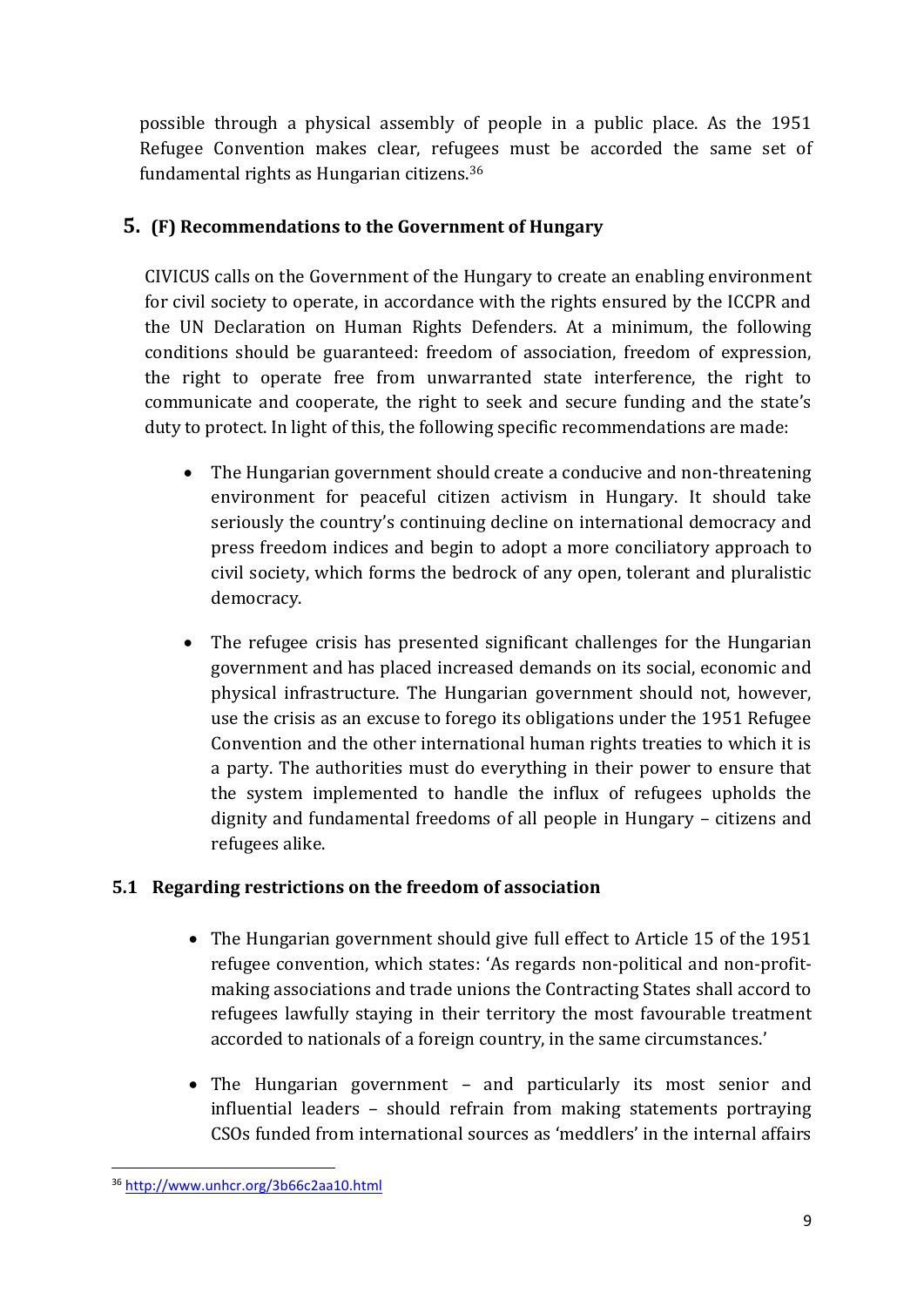possible through a physical assembly of people in a public place. As the 1951 Refugee Convention makes clear, refugees must be accorded the same set of fundamental rights as Hungarian citizens.<sup>36</sup>

#### **5. (F) Recommendations to the Government of Hungary**

CIVICUS calls on the Government of the Hungary to create an enabling environment for civil society to operate, in accordance with the rights ensured by the ICCPR and the UN Declaration on Human Rights Defenders. At a minimum, the following conditions should be guaranteed: freedom of association, freedom of expression, the right to operate free from unwarranted state interference, the right to communicate and cooperate, the right to seek and secure funding and the state's duty to protect. In light of this, the following specific recommendations are made:

- The Hungarian government should create a conducive and non-threatening environment for peaceful citizen activism in Hungary. It should take seriously the country's continuing decline on international democracy and press freedom indices and begin to adopt a more conciliatory approach to civil society, which forms the bedrock of any open, tolerant and pluralistic democracy.
- The refugee crisis has presented significant challenges for the Hungarian government and has placed increased demands on its social, economic and physical infrastructure. The Hungarian government should not, however, use the crisis as an excuse to forego its obligations under the 1951 Refugee Convention and the other international human rights treaties to which it is a party. The authorities must do everything in their power to ensure that the system implemented to handle the influx of refugees upholds the dignity and fundamental freedoms of all people in Hungary – citizens and refugees alike.

#### **5.1 Regarding restrictions on the freedom of association**

- The Hungarian government should give full effect to Article 15 of the 1951 refugee convention, which states: 'As regards non-political and non-profitmaking associations and trade unions the Contracting States shall accord to refugees lawfully staying in their territory the most favourable treatment accorded to nationals of a foreign country, in the same circumstances.'
- The Hungarian government and particularly its most senior and influential leaders – should refrain from making statements portraying CSOs funded from international sources as 'meddlers' in the internal affairs

**<sup>.</sup>** <sup>36</sup> <http://www.unhcr.org/3b66c2aa10.html>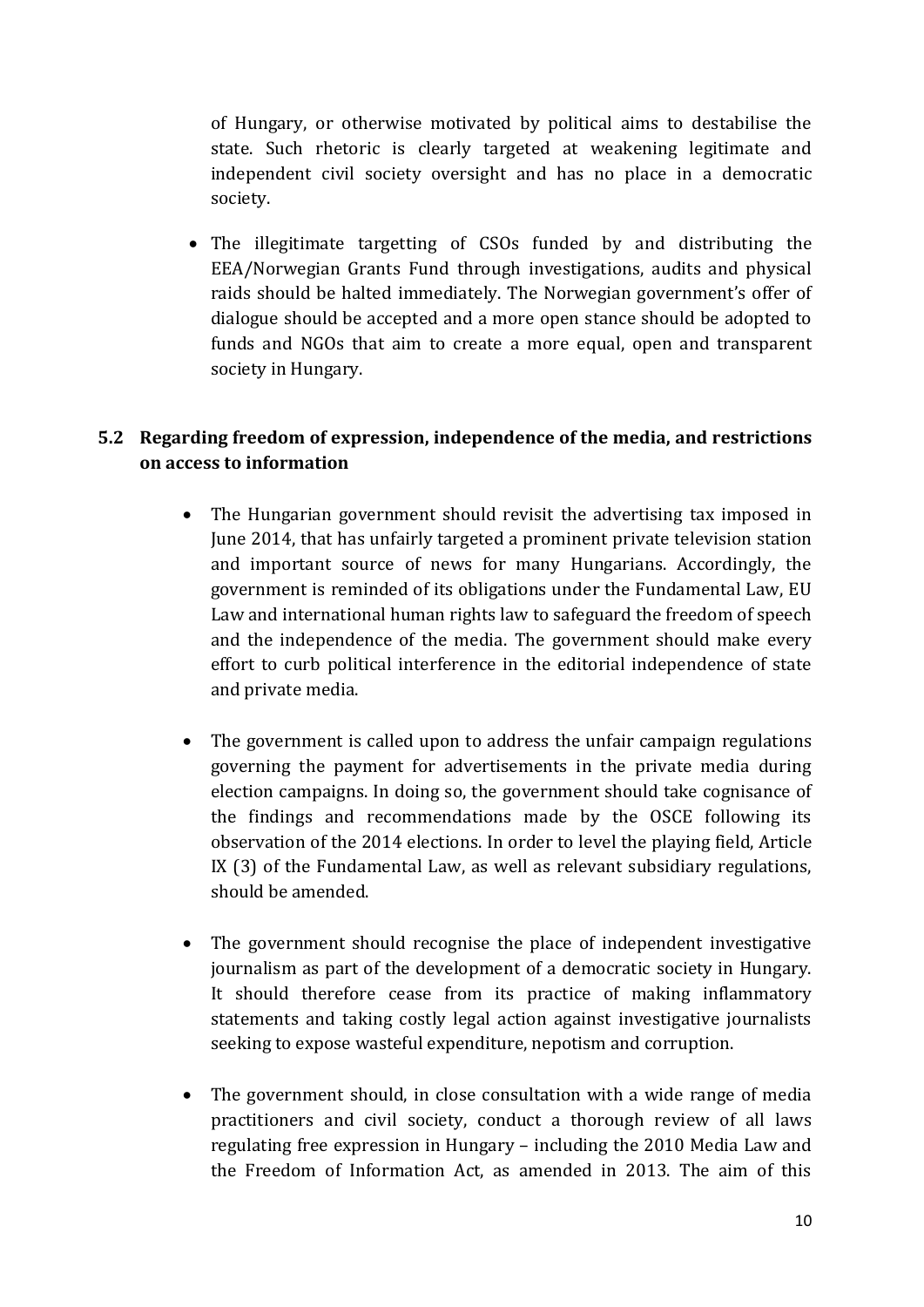of Hungary, or otherwise motivated by political aims to destabilise the state. Such rhetoric is clearly targeted at weakening legitimate and independent civil society oversight and has no place in a democratic society.

 The illegitimate targetting of CSOs funded by and distributing the EEA/Norwegian Grants Fund through investigations, audits and physical raids should be halted immediately. The Norwegian government's offer of dialogue should be accepted and a more open stance should be adopted to funds and NGOs that aim to create a more equal, open and transparent society in Hungary.

#### **5.2 Regarding freedom of expression, independence of the media, and restrictions on access to information**

- The Hungarian government should revisit the advertising tax imposed in June 2014, that has unfairly targeted a prominent private television station and important source of news for many Hungarians. Accordingly, the government is reminded of its obligations under the Fundamental Law, EU Law and international human rights law to safeguard the freedom of speech and the independence of the media. The government should make every effort to curb political interference in the editorial independence of state and private media.
- The government is called upon to address the unfair campaign regulations governing the payment for advertisements in the private media during election campaigns. In doing so, the government should take cognisance of the findings and recommendations made by the OSCE following its observation of the 2014 elections. In order to level the playing field, Article IX (3) of the Fundamental Law, as well as relevant subsidiary regulations, should be amended.
- The government should recognise the place of independent investigative journalism as part of the development of a democratic society in Hungary. It should therefore cease from its practice of making inflammatory statements and taking costly legal action against investigative journalists seeking to expose wasteful expenditure, nepotism and corruption.
- The government should, in close consultation with a wide range of media practitioners and civil society, conduct a thorough review of all laws regulating free expression in Hungary – including the 2010 Media Law and the Freedom of Information Act, as amended in 2013. The aim of this